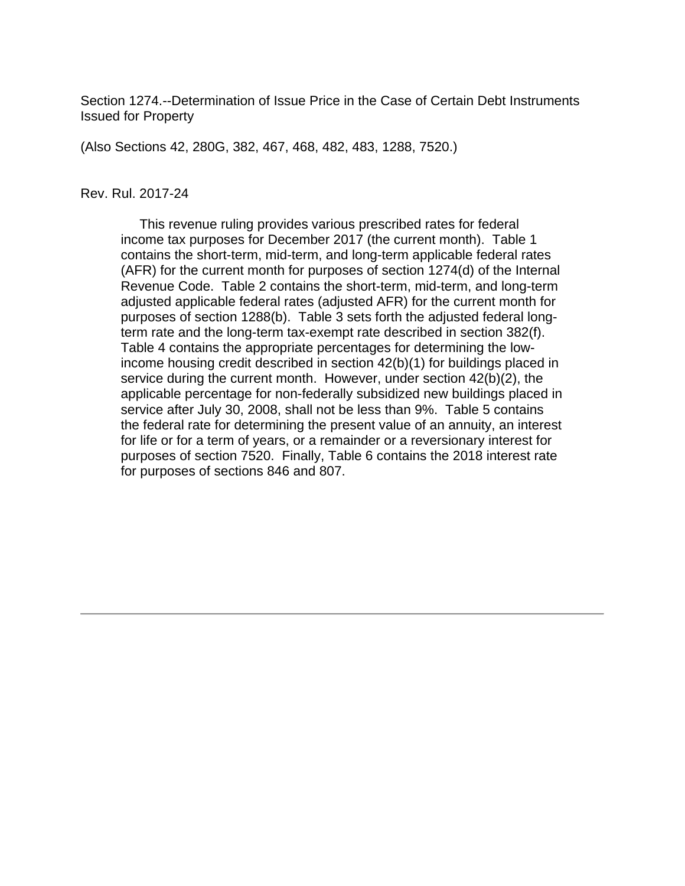Section 1274.--Determination of Issue Price in the Case of Certain Debt Instruments Issued for Property

(Also Sections 42, 280G, 382, 467, 468, 482, 483, 1288, 7520.)

#### Rev. Rul. 2017-24

 This revenue ruling provides various prescribed rates for federal income tax purposes for December 2017 (the current month). Table 1 contains the short-term, mid-term, and long-term applicable federal rates (AFR) for the current month for purposes of section 1274(d) of the Internal Revenue Code. Table 2 contains the short-term, mid-term, and long-term adjusted applicable federal rates (adjusted AFR) for the current month for purposes of section 1288(b). Table 3 sets forth the adjusted federal longterm rate and the long-term tax-exempt rate described in section 382(f). Table 4 contains the appropriate percentages for determining the lowincome housing credit described in section 42(b)(1) for buildings placed in service during the current month. However, under section 42(b)(2), the applicable percentage for non-federally subsidized new buildings placed in service after July 30, 2008, shall not be less than 9%. Table 5 contains the federal rate for determining the present value of an annuity, an interest for life or for a term of years, or a remainder or a reversionary interest for purposes of section 7520. Finally, Table 6 contains the 2018 interest rate for purposes of sections 846 and 807.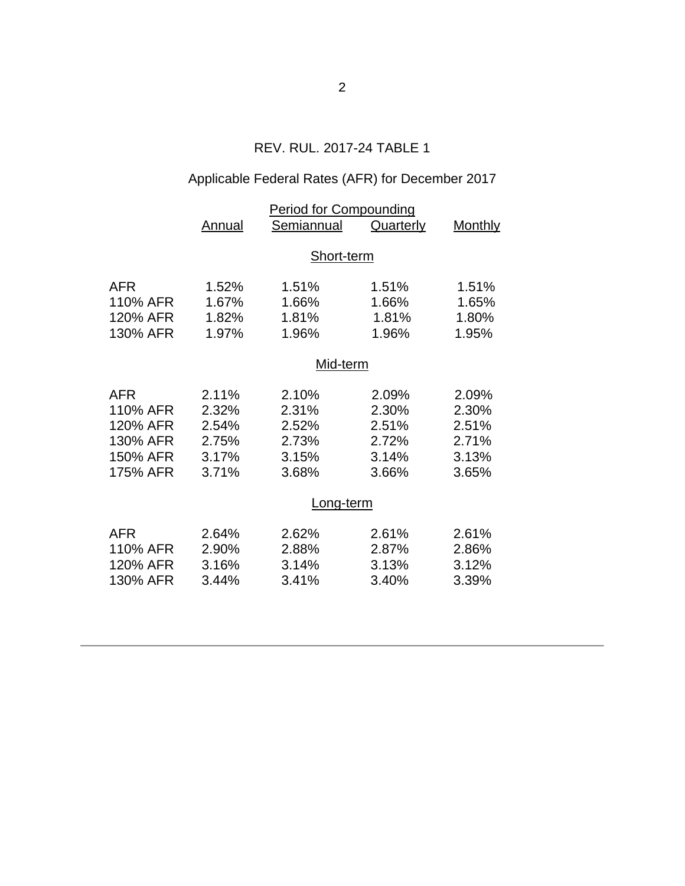## REV. RUL. 2017-24 TABLE 1

# Applicable Federal Rates (AFR) for December 2017

|                                                                        | <b>Period for Compounding</b>                      |                                                    |                                                    |                                                    |  |  |
|------------------------------------------------------------------------|----------------------------------------------------|----------------------------------------------------|----------------------------------------------------|----------------------------------------------------|--|--|
|                                                                        | Annual                                             | Semiannual                                         | <b>Quarterly</b>                                   | <b>Monthly</b>                                     |  |  |
|                                                                        | Short-term                                         |                                                    |                                                    |                                                    |  |  |
| <b>AFR</b><br>110% AFR<br>120% AFR<br>130% AFR                         | 1.52%<br>1.67%<br>1.82%<br>1.97%                   | 1.51%<br>1.66%<br>1.81%<br>1.96%                   | 1.51%<br>1.66%<br>1.81%<br>1.96%                   | 1.51%<br>1.65%<br>1.80%<br>1.95%                   |  |  |
|                                                                        | Mid-term                                           |                                                    |                                                    |                                                    |  |  |
| <b>AFR</b><br>110% AFR<br>120% AFR<br>130% AFR<br>150% AFR<br>175% AFR | 2.11%<br>2.32%<br>2.54%<br>2.75%<br>3.17%<br>3.71% | 2.10%<br>2.31%<br>2.52%<br>2.73%<br>3.15%<br>3.68% | 2.09%<br>2.30%<br>2.51%<br>2.72%<br>3.14%<br>3.66% | 2.09%<br>2.30%<br>2.51%<br>2.71%<br>3.13%<br>3.65% |  |  |
|                                                                        | Long-term                                          |                                                    |                                                    |                                                    |  |  |
| <b>AFR</b><br>110% AFR<br>120% AFR<br>130% AFR                         | 2.64%<br>2.90%<br>3.16%<br>3.44%                   | 2.62%<br>2.88%<br>3.14%<br>3.41%                   | 2.61%<br>2.87%<br>3.13%<br>3.40%                   | 2.61%<br>2.86%<br>3.12%<br>3.39%                   |  |  |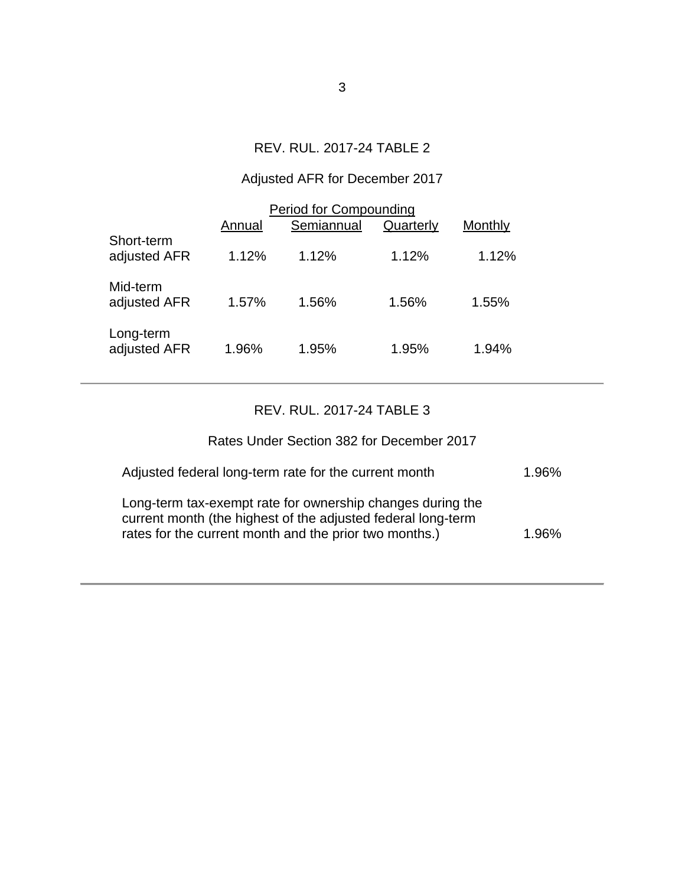## REV. RUL. 2017-24 TABLE 2

## Adjusted AFR for December 2017

|                            | <b>Period for Compounding</b> |            |           |         |  |
|----------------------------|-------------------------------|------------|-----------|---------|--|
|                            | Annual                        | Semiannual | Quarterly | Monthly |  |
| Short-term<br>adjusted AFR | 1.12%                         | 1.12%      | 1.12%     | 1.12%   |  |
| Mid-term<br>adjusted AFR   | 1.57%                         | 1.56%      | 1.56%     | 1.55%   |  |
| Long-term<br>adjusted AFR  | 1.96%                         | 1.95%      | 1.95%     | 1.94%   |  |

## REV. RUL. 2017-24 TABLE 3

| Rates Under Section 382 for December 2017                                                                                                                                            |       |
|--------------------------------------------------------------------------------------------------------------------------------------------------------------------------------------|-------|
| Adjusted federal long-term rate for the current month                                                                                                                                | 1.96% |
| Long-term tax-exempt rate for ownership changes during the<br>current month (the highest of the adjusted federal long-term<br>rates for the current month and the prior two months.) | 1.96% |